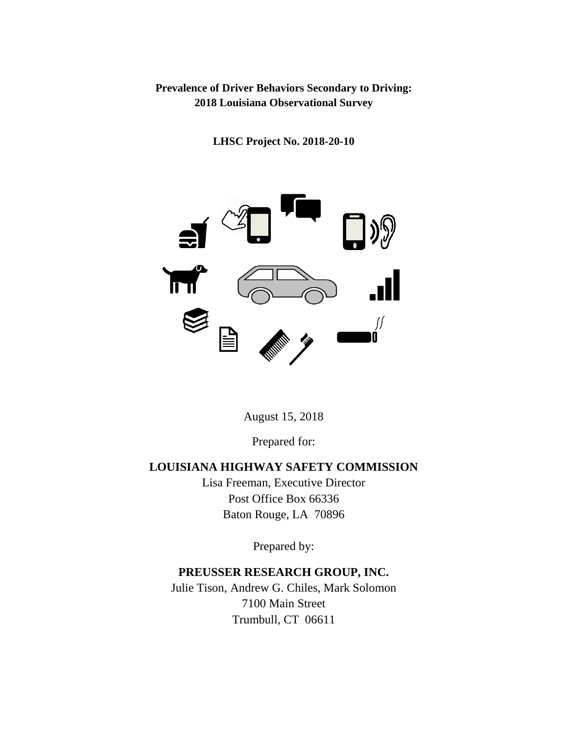## **Prevalence of Driver Behaviors Secondary to Driving: 2018 Louisiana Observational Survey**

**LHSC Project No. 2018-20-10**



August 15, 2018

Prepared for:

# **LOUISIANA HIGHWAY SAFETY COMMISSION**

Lisa Freeman, Executive Director Post Office Box 66336 Baton Rouge, LA 70896

Prepared by:

# **PREUSSER RESEARCH GROUP, INC.**

Julie Tison, Andrew G. Chiles, Mark Solomon 7100 Main Street Trumbull, CT 06611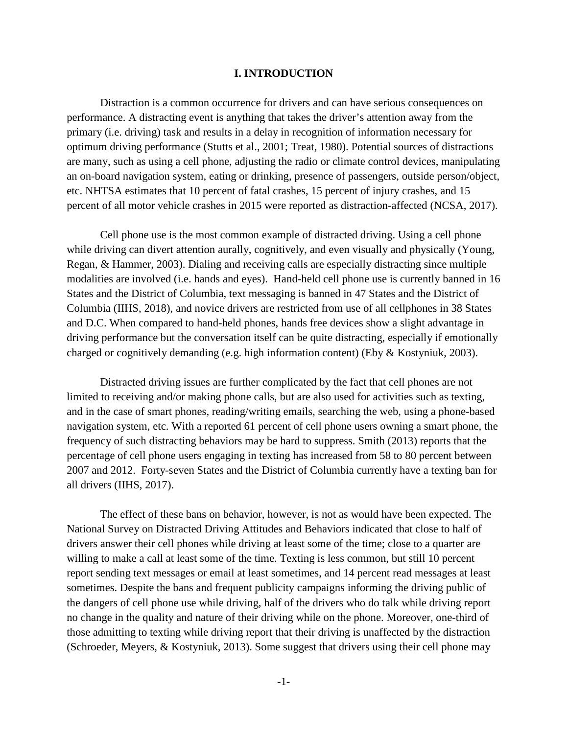### **I. INTRODUCTION**

Distraction is a common occurrence for drivers and can have serious consequences on performance. A distracting event is anything that takes the driver's attention away from the primary (i.e. driving) task and results in a delay in recognition of information necessary for optimum driving performance (Stutts et al., 2001; Treat, 1980). Potential sources of distractions are many, such as using a cell phone, adjusting the radio or climate control devices, manipulating an on-board navigation system, eating or drinking, presence of passengers, outside person/object, etc. NHTSA estimates that 10 percent of fatal crashes, 15 percent of injury crashes, and 15 percent of all motor vehicle crashes in 2015 were reported as distraction-affected (NCSA, 2017).

Cell phone use is the most common example of distracted driving. Using a cell phone while driving can divert attention aurally, cognitively, and even visually and physically (Young, Regan, & Hammer, 2003). Dialing and receiving calls are especially distracting since multiple modalities are involved (i.e. hands and eyes). Hand-held cell phone use is currently banned in 16 States and the District of Columbia, text messaging is banned in 47 States and the District of Columbia (IIHS, 2018), and novice drivers are restricted from use of all cellphones in 38 States and D.C. When compared to hand-held phones, hands free devices show a slight advantage in driving performance but the conversation itself can be quite distracting, especially if emotionally charged or cognitively demanding (e.g. high information content) (Eby & Kostyniuk, 2003).

Distracted driving issues are further complicated by the fact that cell phones are not limited to receiving and/or making phone calls, but are also used for activities such as texting, and in the case of smart phones, reading/writing emails, searching the web, using a phone-based navigation system, etc. With a reported 61 percent of cell phone users owning a smart phone, the frequency of such distracting behaviors may be hard to suppress. Smith (2013) reports that the percentage of cell phone users engaging in texting has increased from 58 to 80 percent between 2007 and 2012. Forty-seven States and the District of Columbia currently have a texting ban for all drivers (IIHS, 2017).

The effect of these bans on behavior, however, is not as would have been expected. The National Survey on Distracted Driving Attitudes and Behaviors indicated that close to half of drivers answer their cell phones while driving at least some of the time; close to a quarter are willing to make a call at least some of the time. Texting is less common, but still 10 percent report sending text messages or email at least sometimes, and 14 percent read messages at least sometimes. Despite the bans and frequent publicity campaigns informing the driving public of the dangers of cell phone use while driving, half of the drivers who do talk while driving report no change in the quality and nature of their driving while on the phone. Moreover, one-third of those admitting to texting while driving report that their driving is unaffected by the distraction (Schroeder, Meyers, & Kostyniuk, 2013). Some suggest that drivers using their cell phone may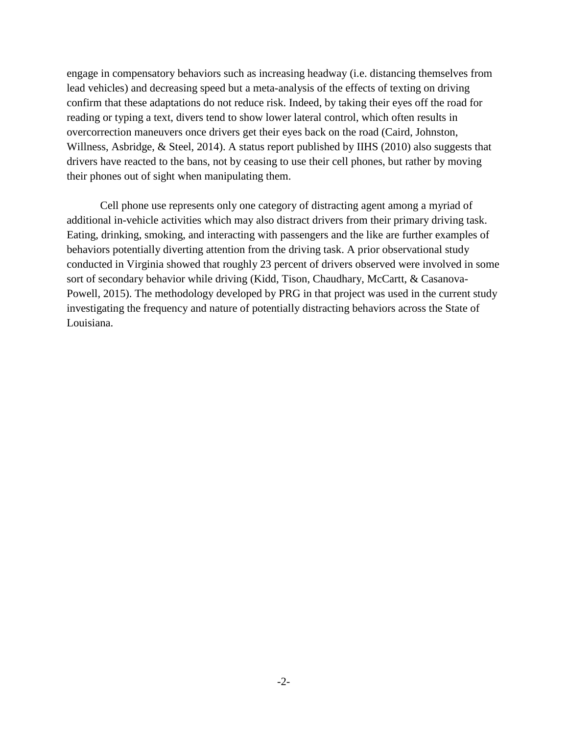engage in compensatory behaviors such as increasing headway (i.e. distancing themselves from lead vehicles) and decreasing speed but a meta-analysis of the effects of texting on driving confirm that these adaptations do not reduce risk. Indeed, by taking their eyes off the road for reading or typing a text, divers tend to show lower lateral control, which often results in overcorrection maneuvers once drivers get their eyes back on the road (Caird, Johnston, Willness, Asbridge, & Steel, 2014). A status report published by IIHS (2010) also suggests that drivers have reacted to the bans, not by ceasing to use their cell phones, but rather by moving their phones out of sight when manipulating them.

Cell phone use represents only one category of distracting agent among a myriad of additional in-vehicle activities which may also distract drivers from their primary driving task. Eating, drinking, smoking, and interacting with passengers and the like are further examples of behaviors potentially diverting attention from the driving task. A prior observational study conducted in Virginia showed that roughly 23 percent of drivers observed were involved in some sort of secondary behavior while driving (Kidd, Tison, Chaudhary, McCartt, & Casanova-Powell, 2015). The methodology developed by PRG in that project was used in the current study investigating the frequency and nature of potentially distracting behaviors across the State of Louisiana.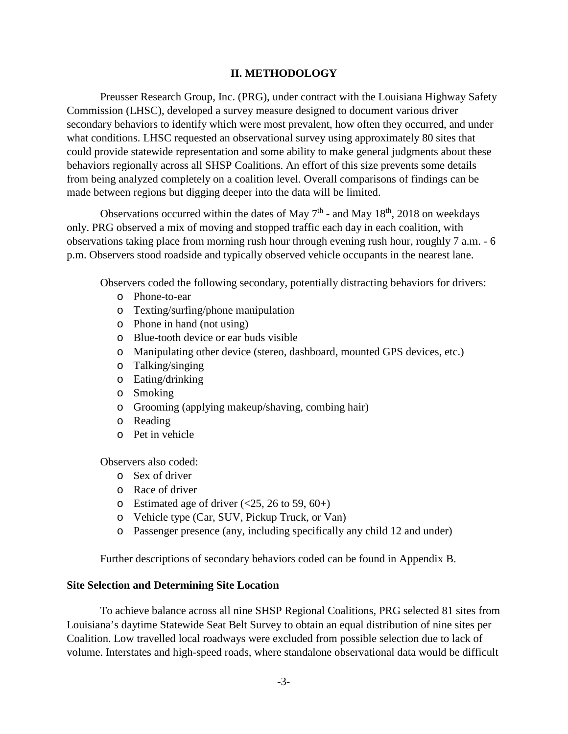## **II. METHODOLOGY**

Preusser Research Group, Inc. (PRG), under contract with the Louisiana Highway Safety Commission (LHSC), developed a survey measure designed to document various driver secondary behaviors to identify which were most prevalent, how often they occurred, and under what conditions. LHSC requested an observational survey using approximately 80 sites that could provide statewide representation and some ability to make general judgments about these behaviors regionally across all SHSP Coalitions. An effort of this size prevents some details from being analyzed completely on a coalition level. Overall comparisons of findings can be made between regions but digging deeper into the data will be limited.

Observations occurred within the dates of May  $7<sup>th</sup>$  - and May 18<sup>th</sup>, 2018 on weekdays only. PRG observed a mix of moving and stopped traffic each day in each coalition, with observations taking place from morning rush hour through evening rush hour, roughly 7 a.m. - 6 p.m. Observers stood roadside and typically observed vehicle occupants in the nearest lane.

Observers coded the following secondary, potentially distracting behaviors for drivers:

- o Phone-to-ear
- o Texting/surfing/phone manipulation
- o Phone in hand (not using)
- o Blue-tooth device or ear buds visible
- o Manipulating other device (stereo, dashboard, mounted GPS devices, etc.)
- o Talking/singing
- o Eating/drinking
- o Smoking
- o Grooming (applying makeup/shaving, combing hair)
- o Reading
- o Pet in vehicle

Observers also coded:

- o Sex of driver
- o Race of driver
- $\circ$  Estimated age of driver (<25, 26 to 59, 60+)
- o Vehicle type (Car, SUV, Pickup Truck, or Van)
- o Passenger presence (any, including specifically any child 12 and under)

Further descriptions of secondary behaviors coded can be found in Appendix B.

## **Site Selection and Determining Site Location**

To achieve balance across all nine SHSP Regional Coalitions, PRG selected 81 sites from Louisiana's daytime Statewide Seat Belt Survey to obtain an equal distribution of nine sites per Coalition. Low travelled local roadways were excluded from possible selection due to lack of volume. Interstates and high-speed roads, where standalone observational data would be difficult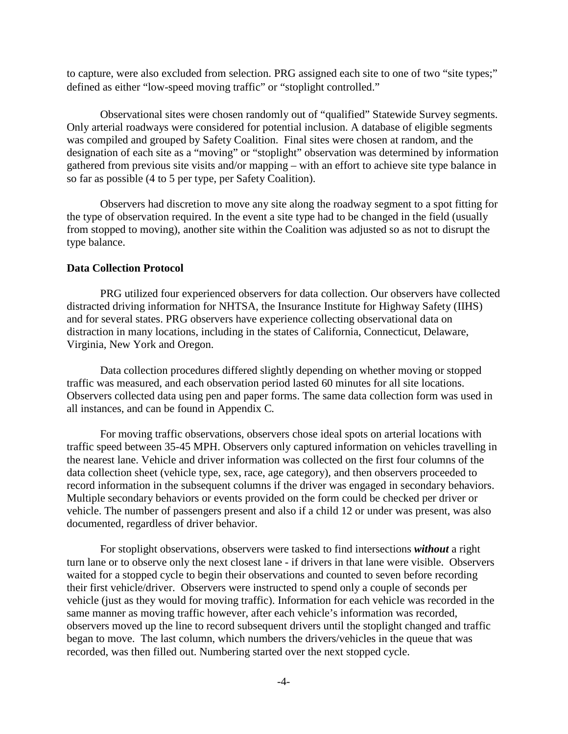to capture, were also excluded from selection. PRG assigned each site to one of two "site types;" defined as either "low-speed moving traffic" or "stoplight controlled."

Observational sites were chosen randomly out of "qualified" Statewide Survey segments. Only arterial roadways were considered for potential inclusion. A database of eligible segments was compiled and grouped by Safety Coalition. Final sites were chosen at random, and the designation of each site as a "moving" or "stoplight" observation was determined by information gathered from previous site visits and/or mapping – with an effort to achieve site type balance in so far as possible (4 to 5 per type, per Safety Coalition).

Observers had discretion to move any site along the roadway segment to a spot fitting for the type of observation required. In the event a site type had to be changed in the field (usually from stopped to moving), another site within the Coalition was adjusted so as not to disrupt the type balance.

#### **Data Collection Protocol**

PRG utilized four experienced observers for data collection. Our observers have collected distracted driving information for NHTSA, the Insurance Institute for Highway Safety (IIHS) and for several states. PRG observers have experience collecting observational data on distraction in many locations, including in the states of California, Connecticut, Delaware, Virginia, New York and Oregon.

Data collection procedures differed slightly depending on whether moving or stopped traffic was measured, and each observation period lasted 60 minutes for all site locations. Observers collected data using pen and paper forms. The same data collection form was used in all instances, and can be found in Appendix C*.*

For moving traffic observations, observers chose ideal spots on arterial locations with traffic speed between 35-45 MPH. Observers only captured information on vehicles travelling in the nearest lane. Vehicle and driver information was collected on the first four columns of the data collection sheet (vehicle type, sex, race, age category), and then observers proceeded to record information in the subsequent columns if the driver was engaged in secondary behaviors. Multiple secondary behaviors or events provided on the form could be checked per driver or vehicle. The number of passengers present and also if a child 12 or under was present, was also documented, regardless of driver behavior.

For stoplight observations, observers were tasked to find intersections *without* a right turn lane or to observe only the next closest lane - if drivers in that lane were visible. Observers waited for a stopped cycle to begin their observations and counted to seven before recording their first vehicle/driver. Observers were instructed to spend only a couple of seconds per vehicle (just as they would for moving traffic). Information for each vehicle was recorded in the same manner as moving traffic however, after each vehicle's information was recorded, observers moved up the line to record subsequent drivers until the stoplight changed and traffic began to move. The last column, which numbers the drivers/vehicles in the queue that was recorded, was then filled out. Numbering started over the next stopped cycle.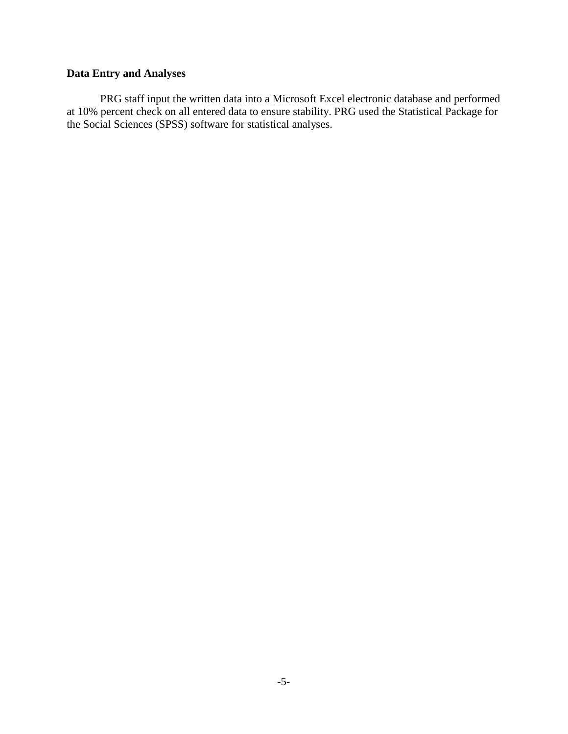## **Data Entry and Analyses**

PRG staff input the written data into a Microsoft Excel electronic database and performed at 10% percent check on all entered data to ensure stability. PRG used the Statistical Package for the Social Sciences (SPSS) software for statistical analyses.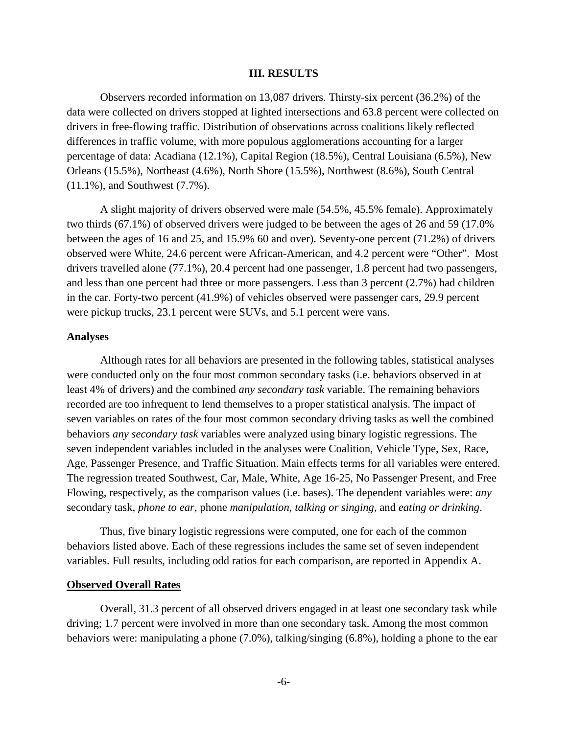#### **III. RESULTS**

Observers recorded information on 13,087 drivers. Thirsty-six percent (36.2%) of the data were collected on drivers stopped at lighted intersections and 63.8 percent were collected on drivers in free-flowing traffic. Distribution of observations across coalitions likely reflected differences in traffic volume, with more populous agglomerations accounting for a larger percentage of data: Acadiana (12.1%), Capital Region (18.5%), Central Louisiana (6.5%), New Orleans (15.5%), Northeast (4.6%), North Shore (15.5%), Northwest (8.6%), South Central (11.1%), and Southwest (7.7%).

A slight majority of drivers observed were male (54.5%, 45.5% female). Approximately two thirds (67.1%) of observed drivers were judged to be between the ages of 26 and 59 (17.0% between the ages of 16 and 25, and 15.9% 60 and over). Seventy-one percent (71.2%) of drivers observed were White, 24.6 percent were African-American, and 4.2 percent were "Other". Most drivers travelled alone (77.1%), 20.4 percent had one passenger, 1.8 percent had two passengers, and less than one percent had three or more passengers. Less than 3 percent (2.7%) had children in the car. Forty-two percent (41.9%) of vehicles observed were passenger cars, 29.9 percent were pickup trucks, 23.1 percent were SUVs, and 5.1 percent were vans.

### **Analyses**

Although rates for all behaviors are presented in the following tables, statistical analyses were conducted only on the four most common secondary tasks (i.e. behaviors observed in at least 4% of drivers) and the combined *any secondary task* variable. The remaining behaviors recorded are too infrequent to lend themselves to a proper statistical analysis. The impact of seven variables on rates of the four most common secondary driving tasks as well the combined behaviors *any secondary task* variables were analyzed using binary logistic regressions. The seven independent variables included in the analyses were Coalition, Vehicle Type, Sex, Race, Age, Passenger Presence, and Traffic Situation. Main effects terms for all variables were entered. The regression treated Southwest, Car, Male, White, Age 16-25, No Passenger Present, and Free Flowing, respectively, as the comparison values (i.e. bases). The dependent variables were: *any* secondary task, *phone to ear*, phone *manipulation*, *talking or singing*, and *eating or drinking*.

Thus, five binary logistic regressions were computed, one for each of the common behaviors listed above. Each of these regressions includes the same set of seven independent variables. Full results, including odd ratios for each comparison, are reported in Appendix A.

#### **Observed Overall Rates**

Overall, 31.3 percent of all observed drivers engaged in at least one secondary task while driving; 1.7 percent were involved in more than one secondary task. Among the most common behaviors were: manipulating a phone (7.0%), talking/singing (6.8%), holding a phone to the ear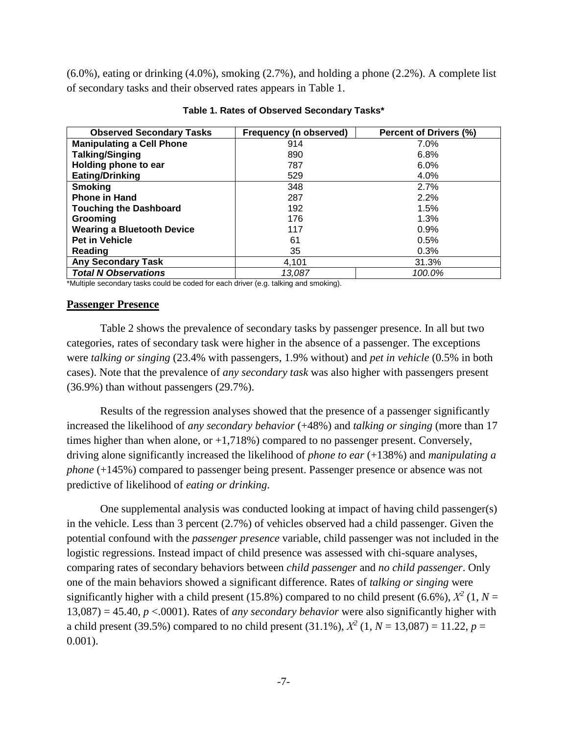(6.0%), eating or drinking (4.0%), smoking (2.7%), and holding a phone (2.2%). A complete list of secondary tasks and their observed rates appears in Table 1.

| <b>Observed Secondary Tasks</b>   | Frequency (n observed) | Percent of Drivers (%) |
|-----------------------------------|------------------------|------------------------|
| <b>Manipulating a Cell Phone</b>  | 914                    | $7.0\%$                |
| <b>Talking/Singing</b>            | 890                    | 6.8%                   |
| Holding phone to ear              | 787                    | 6.0%                   |
| <b>Eating/Drinking</b>            | 529                    | 4.0%                   |
| <b>Smoking</b>                    | 348                    | 2.7%                   |
| <b>Phone in Hand</b>              | 287                    | 2.2%                   |
| <b>Touching the Dashboard</b>     | 192                    | 1.5%                   |
| Grooming                          | 176                    | 1.3%                   |
| <b>Wearing a Bluetooth Device</b> | 117                    | 0.9%                   |
| <b>Pet in Vehicle</b>             | 61                     | 0.5%                   |
| Reading                           | 35                     | 0.3%                   |
| <b>Any Secondary Task</b>         | 4.101                  | 31.3%                  |
| <b>Total N Observations</b>       | 13.087                 | 100.0%                 |

#### **Table 1. Rates of Observed Secondary Tasks\***

\*Multiple secondary tasks could be coded for each driver (e.g. talking and smoking).

### **Passenger Presence**

Table 2 shows the prevalence of secondary tasks by passenger presence. In all but two categories, rates of secondary task were higher in the absence of a passenger. The exceptions were *talking or singing* (23.4% with passengers, 1.9% without) and *pet in vehicle* (0.5% in both cases). Note that the prevalence of *any secondary task* was also higher with passengers present (36.9%) than without passengers (29.7%).

Results of the regression analyses showed that the presence of a passenger significantly increased the likelihood of *any secondary behavior* (+48%) and *talking or singing* (more than 17 times higher than when alone, or +1,718%) compared to no passenger present. Conversely, driving alone significantly increased the likelihood of *phone to ear* (+138%) and *manipulating a phone* (+145%) compared to passenger being present. Passenger presence or absence was not predictive of likelihood of *eating or drinking*.

One supplemental analysis was conducted looking at impact of having child passenger(s) in the vehicle. Less than 3 percent (2.7%) of vehicles observed had a child passenger. Given the potential confound with the *passenger presence* variable, child passenger was not included in the logistic regressions. Instead impact of child presence was assessed with chi-square analyses, comparing rates of secondary behaviors between *child passenger* and *no child passenger*. Only one of the main behaviors showed a significant difference. Rates of *talking or singing* were significantly higher with a child present (15.8%) compared to no child present (6.6%),  $\chi^2$  (1,  $N =$  $13,087$ ) = 45.40, *p* <.0001). Rates of *any secondary behavior* were also significantly higher with a child present (39.5%) compared to no child present (31.1%),  $X^2$  (1,  $N = 13,087$ ) = 11.22,  $p =$ 0.001).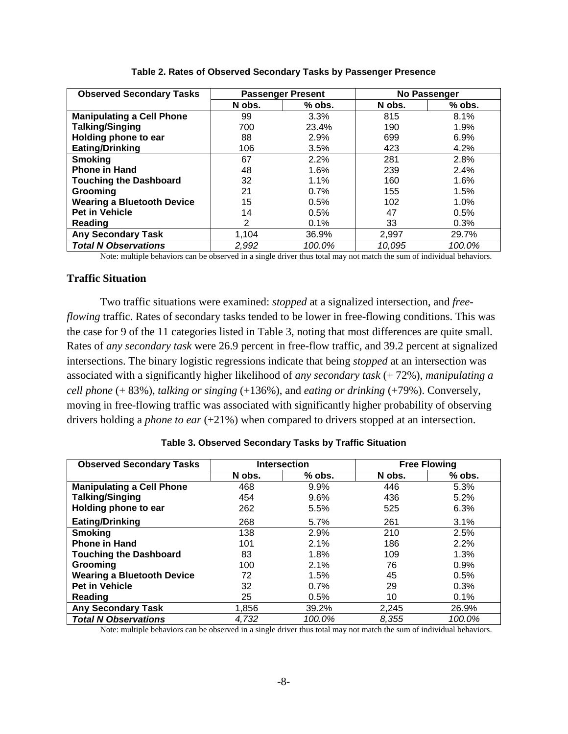| <b>Observed Secondary Tasks</b>   |        | <b>Passenger Present</b> | No Passenger |          |
|-----------------------------------|--------|--------------------------|--------------|----------|
|                                   | N obs. | $%$ obs.                 | N obs.       | $%$ obs. |
| <b>Manipulating a Cell Phone</b>  | 99     | 3.3%                     | 815          | 8.1%     |
| <b>Talking/Singing</b>            | 700    | 23.4%                    | 190          | 1.9%     |
| Holding phone to ear              | 88     | 2.9%                     | 699          | 6.9%     |
| <b>Eating/Drinking</b>            | 106    | 3.5%                     | 423          | 4.2%     |
| <b>Smoking</b>                    | 67     | 2.2%                     | 281          | 2.8%     |
| <b>Phone in Hand</b>              | 48     | 1.6%                     | 239          | 2.4%     |
| <b>Touching the Dashboard</b>     | 32     | 1.1%                     | 160          | 1.6%     |
| Grooming                          | 21     | 0.7%                     | 155          | 1.5%     |
| <b>Wearing a Bluetooth Device</b> | 15     | 0.5%                     | 102          | 1.0%     |
| <b>Pet in Vehicle</b>             | 14     | 0.5%                     | 47           | 0.5%     |
| Reading                           | 2      | 0.1%                     | 33           | 0.3%     |
| <b>Any Secondary Task</b>         | 1,104  | 36.9%                    | 2,997        | 29.7%    |
| <b>Total N Observations</b>       | 2,992  | 100.0%                   | 10,095       | 100.0%   |

**Table 2. Rates of Observed Secondary Tasks by Passenger Presence**

Note: multiple behaviors can be observed in a single driver thus total may not match the sum of individual behaviors.

## **Traffic Situation**

Two traffic situations were examined: *stopped* at a signalized intersection, and *freeflowing* traffic. Rates of secondary tasks tended to be lower in free-flowing conditions. This was the case for 9 of the 11 categories listed in Table 3, noting that most differences are quite small. Rates of *any secondary task* were 26.9 percent in free-flow traffic, and 39.2 percent at signalized intersections. The binary logistic regressions indicate that being *stopped* at an intersection was associated with a significantly higher likelihood of *any secondary task* (+ 72%), *manipulating a cell phone* (+ 83%), *talking or singing* (+136%), and *eating or drinking* (+79%). Conversely, moving in free-flowing traffic was associated with significantly higher probability of observing drivers holding a *phone to ear* (+21%) when compared to drivers stopped at an intersection.

| <b>Observed Secondary Tasks</b>   |        | <b>Intersection</b> | <b>Free Flowing</b> |          |  |
|-----------------------------------|--------|---------------------|---------------------|----------|--|
|                                   | N obs. | $%$ obs.            | N obs.              | $%$ obs. |  |
| <b>Manipulating a Cell Phone</b>  | 468    | 9.9%                | 446                 | 5.3%     |  |
| <b>Talking/Singing</b>            | 454    | 9.6%                | 436                 | 5.2%     |  |
| Holding phone to ear              | 262    | 5.5%                | 525                 | 6.3%     |  |
| <b>Eating/Drinking</b>            | 268    | 5.7%                | 261                 | 3.1%     |  |
| <b>Smoking</b>                    | 138    | 2.9%                | 210                 | 2.5%     |  |
| <b>Phone in Hand</b>              | 101    | 2.1%                | 186                 | 2.2%     |  |
| <b>Touching the Dashboard</b>     | 83     | 1.8%                | 109                 | 1.3%     |  |
| Grooming                          | 100    | 2.1%                | 76                  | 0.9%     |  |
| <b>Wearing a Bluetooth Device</b> | 72     | 1.5%                | 45                  | 0.5%     |  |
| <b>Pet in Vehicle</b>             | 32     | 0.7%                | 29                  | 0.3%     |  |
| Reading                           | 25     | 0.5%                | 10                  | 0.1%     |  |
| <b>Any Secondary Task</b>         | 1,856  | 39.2%               | 2,245               | 26.9%    |  |
| <b>Total N Observations</b>       | 4,732  | 100.0%              | 8.355               | 100.0%   |  |

| Table 3. Observed Secondary Tasks by Traffic Situation |  |
|--------------------------------------------------------|--|
|--------------------------------------------------------|--|

Note: multiple behaviors can be observed in a single driver thus total may not match the sum of individual behaviors.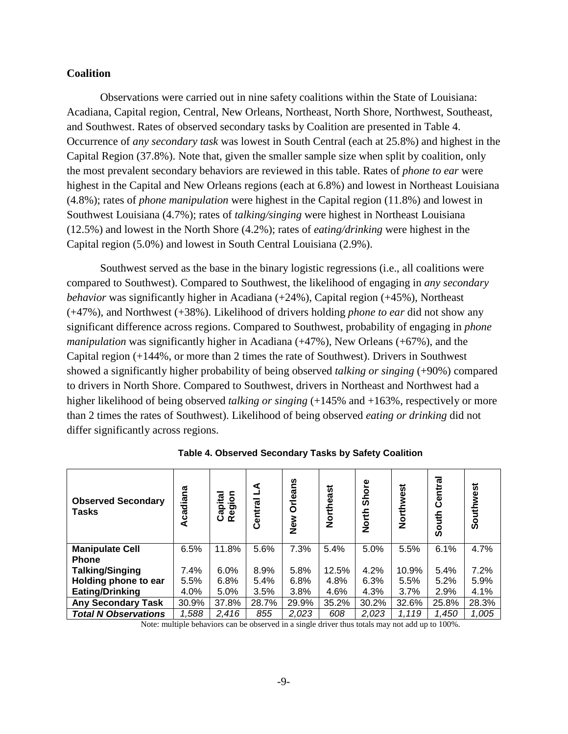## **Coalition**

Observations were carried out in nine safety coalitions within the State of Louisiana: Acadiana, Capital region, Central, New Orleans, Northeast, North Shore, Northwest, Southeast, and Southwest. Rates of observed secondary tasks by Coalition are presented in Table 4. Occurrence of *any secondary task* was lowest in South Central (each at 25.8%) and highest in the Capital Region (37.8%). Note that, given the smaller sample size when split by coalition, only the most prevalent secondary behaviors are reviewed in this table. Rates of *phone to ear* were highest in the Capital and New Orleans regions (each at 6.8%) and lowest in Northeast Louisiana (4.8%); rates of *phone manipulation* were highest in the Capital region (11.8%) and lowest in Southwest Louisiana (4.7%); rates of *talking/singing* were highest in Northeast Louisiana (12.5%) and lowest in the North Shore (4.2%); rates of *eating/drinking* were highest in the Capital region (5.0%) and lowest in South Central Louisiana (2.9%).

Southwest served as the base in the binary logistic regressions (i.e., all coalitions were compared to Southwest). Compared to Southwest, the likelihood of engaging in *any secondary behavior* was significantly higher in Acadiana (+24%), Capital region (+45%), Northeast (+47%), and Northwest (+38%). Likelihood of drivers holding *phone to ear* did not show any significant difference across regions. Compared to Southwest, probability of engaging in *phone manipulation* was significantly higher in Acadiana (+47%), New Orleans (+67%), and the Capital region (+144%, or more than 2 times the rate of Southwest). Drivers in Southwest showed a significantly higher probability of being observed *talking or singing* (+90%) compared to drivers in North Shore. Compared to Southwest, drivers in Northeast and Northwest had a higher likelihood of being observed *talking or singing* (+145% and +163%, respectively or more than 2 times the rates of Southwest). Likelihood of being observed *eating or drinking* did not differ significantly across regions.

| <b>Observed Secondary</b><br><b>Tasks</b> | Acadiana | Region<br>Capital | ⋖<br>Central | <b>Orleans</b><br>New | Northeast | <b>Shore</b><br><b>North</b> | Northwest | Central<br>South | Southwest |
|-------------------------------------------|----------|-------------------|--------------|-----------------------|-----------|------------------------------|-----------|------------------|-----------|
| <b>Manipulate Cell</b>                    | 6.5%     | 11.8%             | 5.6%         | 7.3%                  | 5.4%      | 5.0%                         | 5.5%      | 6.1%             | 4.7%      |
| <b>Phone</b>                              |          |                   |              |                       |           |                              |           |                  |           |
| <b>Talking/Singing</b>                    | 7.4%     | 6.0%              | 8.9%         | 5.8%                  | 12.5%     | 4.2%                         | 10.9%     | 5.4%             | 7.2%      |
| Holding phone to ear                      | 5.5%     | 6.8%              | 5.4%         | 6.8%                  | 4.8%      | 6.3%                         | 5.5%      | 5.2%             | 5.9%      |
| Eating/Drinking                           | 4.0%     | 5.0%              | 3.5%         | 3.8%                  | 4.6%      | 4.3%                         | 3.7%      | 2.9%             | 4.1%      |
| <b>Any Secondary Task</b>                 | 30.9%    | 37.8%             | 28.7%        | 29.9%                 | 35.2%     | 30.2%                        | 32.6%     | 25.8%            | 28.3%     |
| <b>Total N Observations</b>               | 1,588    | 2,416             | 855          | 2,023                 | 608       | 2,023                        | 1,119     | 1,450            | 1,005     |

**Table 4. Observed Secondary Tasks by Safety Coalition**

Note: multiple behaviors can be observed in a single driver thus totals may not add up to 100%.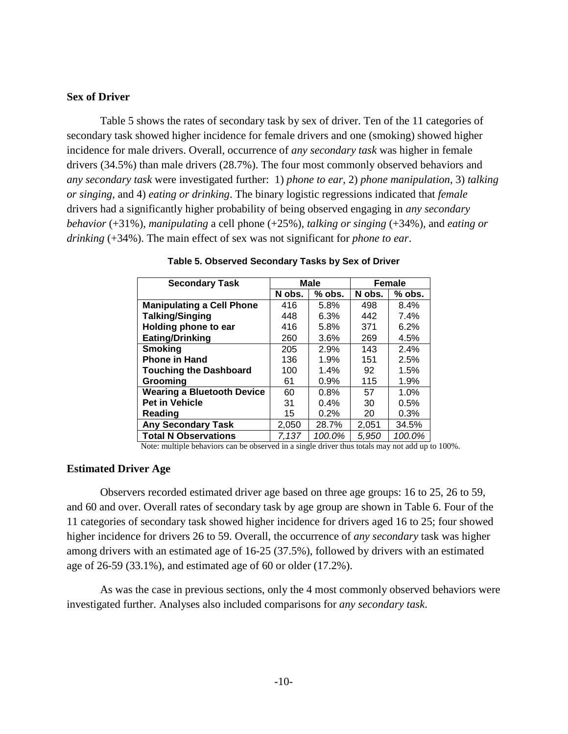## **Sex of Driver**

Table 5 shows the rates of secondary task by sex of driver. Ten of the 11 categories of secondary task showed higher incidence for female drivers and one (smoking) showed higher incidence for male drivers. Overall, occurrence of *any secondary task* was higher in female drivers (34.5%) than male drivers (28.7%). The four most commonly observed behaviors and *any secondary task* were investigated further: 1) *phone to ear*, 2) *phone manipulation,* 3) *talking or singing*, and 4) *eating or drinking*. The binary logistic regressions indicated that *female* drivers had a significantly higher probability of being observed engaging in *any secondary behavior* (+31%), *manipulating* a cell phone (+25%), *talking or singing* (+34%), and *eating or drinking* (+34%). The main effect of sex was not significant for *phone to ear*.

| <b>Secondary Task</b>             |        | <b>Male</b> | Female |          |  |
|-----------------------------------|--------|-------------|--------|----------|--|
|                                   | N obs. | $%$ obs.    | N obs. | $%$ obs. |  |
| <b>Manipulating a Cell Phone</b>  | 416    | 5.8%        | 498    | 8.4%     |  |
| <b>Talking/Singing</b>            | 448    | 6.3%        | 442    | 7.4%     |  |
| Holding phone to ear              | 416    | 5.8%        | 371    | 6.2%     |  |
| <b>Eating/Drinking</b>            | 260    | 3.6%        | 269    | 4.5%     |  |
| <b>Smoking</b>                    | 205    | 2.9%        | 143    | 2.4%     |  |
| <b>Phone in Hand</b>              | 136    | 1.9%        | 151    | 2.5%     |  |
| <b>Touching the Dashboard</b>     | 100    | 1.4%        | 92     | 1.5%     |  |
| Groomina                          | 61     | 0.9%        | 115    | 1.9%     |  |
| <b>Wearing a Bluetooth Device</b> | 60     | 0.8%        | 57     | 1.0%     |  |
| <b>Pet in Vehicle</b>             | 31     | 0.4%        | 30     | 0.5%     |  |
| Reading                           | 15     | 0.2%        | 20     | 0.3%     |  |
| <b>Any Secondary Task</b>         | 2,050  | 28.7%       | 2,051  | 34.5%    |  |
| <b>Total N Observations</b>       | 7.137  | 100.0%      | 5,950  | 100.0%   |  |

|  | Table 5. Observed Secondary Tasks by Sex of Driver |  |  |
|--|----------------------------------------------------|--|--|
|  |                                                    |  |  |

Note: multiple behaviors can be observed in a single driver thus totals may not add up to 100%.

#### **Estimated Driver Age**

Observers recorded estimated driver age based on three age groups: 16 to 25, 26 to 59, and 60 and over. Overall rates of secondary task by age group are shown in Table 6. Four of the 11 categories of secondary task showed higher incidence for drivers aged 16 to 25; four showed higher incidence for drivers 26 to 59. Overall, the occurrence of *any secondary* task was higher among drivers with an estimated age of 16-25 (37.5%), followed by drivers with an estimated age of 26-59 (33.1%), and estimated age of 60 or older (17.2%).

As was the case in previous sections, only the 4 most commonly observed behaviors were investigated further. Analyses also included comparisons for *any secondary task*.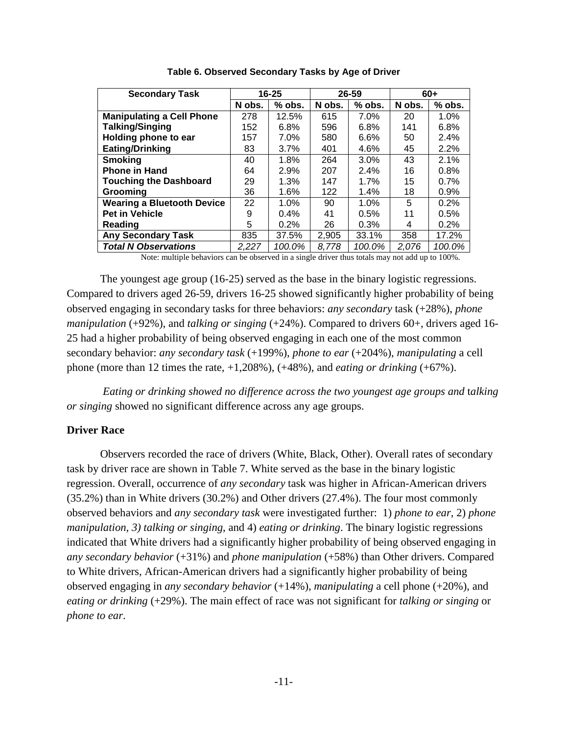| <b>Secondary Task</b>             |        | $16 - 25$ | 26-59  |          | $60+$  |        |
|-----------------------------------|--------|-----------|--------|----------|--------|--------|
|                                   | N obs. | $%$ obs.  | N obs. | $%$ obs. | N obs. | % obs. |
| <b>Manipulating a Cell Phone</b>  | 278    | 12.5%     | 615    | 7.0%     | 20     | 1.0%   |
| <b>Talking/Singing</b>            | 152    | 6.8%      | 596    | 6.8%     | 141    | 6.8%   |
| Holding phone to ear              | 157    | 7.0%      | 580    | 6.6%     | 50     | 2.4%   |
| <b>Eating/Drinking</b>            | 83     | 3.7%      | 401    | 4.6%     | 45     | 2.2%   |
| <b>Smoking</b>                    | 40     | 1.8%      | 264    | 3.0%     | 43     | 2.1%   |
| <b>Phone in Hand</b>              | 64     | 2.9%      | 207    | 2.4%     | 16     | 0.8%   |
| <b>Touching the Dashboard</b>     | 29     | 1.3%      | 147    | 1.7%     | 15     | 0.7%   |
| Grooming                          | 36     | 1.6%      | 122    | $1.4\%$  | 18     | 0.9%   |
| <b>Wearing a Bluetooth Device</b> | 22     | 1.0%      | 90     | 1.0%     | 5      | 0.2%   |
| <b>Pet in Vehicle</b>             | 9      | $0.4\%$   | 41     | 0.5%     | 11     | 0.5%   |
| Reading                           | 5      | 0.2%      | 26     | 0.3%     | 4      | 0.2%   |
| <b>Any Secondary Task</b>         | 835    | 37.5%     | 2,905  | 33.1%    | 358    | 17.2%  |
| <b>Total N Observations</b>       | 2.227  | 100.0%    | 8,778  | 100.0%   | 2.076  | 100.0% |

**Table 6. Observed Secondary Tasks by Age of Driver**

Note: multiple behaviors can be observed in a single driver thus totals may not add up to 100%.

The youngest age group (16-25) served as the base in the binary logistic regressions. Compared to drivers aged 26-59, drivers 16-25 showed significantly higher probability of being observed engaging in secondary tasks for three behaviors: *any secondary* task (+28%), *phone manipulation* (+92%), and *talking or singing* (+24%). Compared to drivers 60+, drivers aged 16-25 had a higher probability of being observed engaging in each one of the most common secondary behavior: *any secondary task* (+199%), *phone to ear* (+204%), *manipulating* a cell phone (more than 12 times the rate, +1,208%), (+48%), and *eating or drinking* (+67%).

*Eating or drinking showed no difference across the two youngest age groups and* t*alking or singing* showed no significant difference across any age groups.

### **Driver Race**

Observers recorded the race of drivers (White, Black, Other). Overall rates of secondary task by driver race are shown in Table 7. White served as the base in the binary logistic regression. Overall, occurrence of *any secondary* task was higher in African-American drivers (35.2%) than in White drivers (30.2%) and Other drivers (27.4%). The four most commonly observed behaviors and *any secondary task* were investigated further: 1) *phone to ear*, 2) *phone manipulation, 3) talking or singing*, and 4) *eating or drinking*. The binary logistic regressions indicated that White drivers had a significantly higher probability of being observed engaging in *any secondary behavior* (+31%) and *phone manipulation* (+58%) than Other drivers. Compared to White drivers, African-American drivers had a significantly higher probability of being observed engaging in *any secondary behavior* (+14%), *manipulating* a cell phone (+20%), and *eating or drinking* (+29%). The main effect of race was not significant for *talking or singing* or *phone to ear*.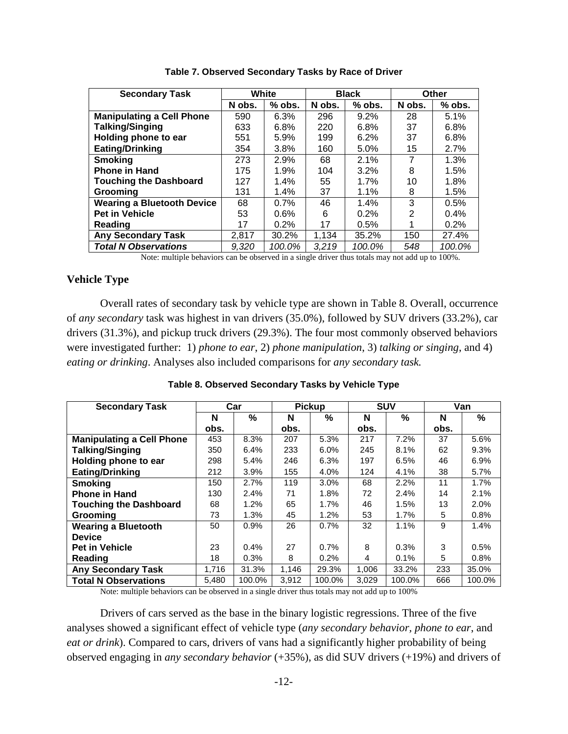| <b>Secondary Task</b>             |        | White    |        | <b>Black</b> | Other  |          |
|-----------------------------------|--------|----------|--------|--------------|--------|----------|
|                                   | N obs. | $%$ obs. | N obs. | $%$ obs.     | N obs. | $%$ obs. |
| <b>Manipulating a Cell Phone</b>  | 590    | 6.3%     | 296    | $9.2\%$      | 28     | 5.1%     |
| <b>Talking/Singing</b>            | 633    | 6.8%     | 220    | 6.8%         | 37     | 6.8%     |
| Holding phone to ear              | 551    | 5.9%     | 199    | 6.2%         | 37     | 6.8%     |
| Eating/Drinking                   | 354    | 3.8%     | 160    | 5.0%         | 15     | 2.7%     |
| <b>Smoking</b>                    | 273    | 2.9%     | 68     | 2.1%         | 7      | 1.3%     |
| <b>Phone in Hand</b>              | 175    | 1.9%     | 104    | $3.2\%$      | 8      | 1.5%     |
| <b>Touching the Dashboard</b>     | 127    | 1.4%     | 55     | 1.7%         | 10     | 1.8%     |
| Grooming                          | 131    | 1.4%     | 37     | $1.1\%$      | 8      | 1.5%     |
| <b>Wearing a Bluetooth Device</b> | 68     | 0.7%     | 46     | 1.4%         | 3      | 0.5%     |
| <b>Pet in Vehicle</b>             | 53     | 0.6%     | 6      | 0.2%         | 2      | $0.4\%$  |
| Reading                           | 17     | 0.2%     | 17     | 0.5%         |        | 0.2%     |
| <b>Any Secondary Task</b>         | 2,817  | 30.2%    | 1,134  | 35.2%        | 150    | 27.4%    |
| <b>Total N Observations</b>       | 9.320  | 100.0%   | 3.219  | 100.0%       | 548    | 100.0%   |

**Table 7. Observed Secondary Tasks by Race of Driver**

Note: multiple behaviors can be observed in a single driver thus totals may not add up to 100%.

## **Vehicle Type**

Overall rates of secondary task by vehicle type are shown in Table 8. Overall, occurrence of *any secondary* task was highest in van drivers (35.0%), followed by SUV drivers (33.2%), car drivers (31.3%), and pickup truck drivers (29.3%). The four most commonly observed behaviors were investigated further: 1) *phone to ear*, 2) *phone manipulation*, 3) *talking or singing*, and 4) *eating or drinking*. Analyses also included comparisons for *any secondary task.*

| <b>Secondary Task</b>            | Car   |        | <b>Pickup</b> |               | <b>SUV</b> |        | Van  |        |
|----------------------------------|-------|--------|---------------|---------------|------------|--------|------|--------|
|                                  | N     | $\%$   | N             | $\frac{0}{0}$ | N          | %      | N    | %      |
|                                  | obs.  |        | obs.          |               | obs.       |        | obs. |        |
| <b>Manipulating a Cell Phone</b> | 453   | 8.3%   | 207           | 5.3%          | 217        | 7.2%   | 37   | 5.6%   |
| <b>Talking/Singing</b>           | 350   | 6.4%   | 233           | 6.0%          | 245        | 8.1%   | 62   | 9.3%   |
| Holding phone to ear             | 298   | 5.4%   | 246           | 6.3%          | 197        | 6.5%   | 46   | 6.9%   |
| <b>Eating/Drinking</b>           | 212   | 3.9%   | 155           | 4.0%          | 124        | 4.1%   | 38   | 5.7%   |
| <b>Smoking</b>                   | 150   | 2.7%   | 119           | 3.0%          | 68         | 2.2%   | 11   | 1.7%   |
| <b>Phone in Hand</b>             | 130   | 2.4%   | 71            | 1.8%          | 72         | 2.4%   | 14   | 2.1%   |
| <b>Touching the Dashboard</b>    | 68    | 1.2%   | 65            | 1.7%          | 46         | 1.5%   | 13   | 2.0%   |
| Grooming                         | 73    | 1.3%   | 45            | 1.2%          | 53         | 1.7%   | 5    | 0.8%   |
| <b>Wearing a Bluetooth</b>       | 50    | 0.9%   | 26            | 0.7%          | 32         | 1.1%   | 9    | 1.4%   |
| <b>Device</b>                    |       |        |               |               |            |        |      |        |
| <b>Pet in Vehicle</b>            | 23    | 0.4%   | 27            | 0.7%          | 8          | 0.3%   | 3    | 0.5%   |
| Reading                          | 18    | 0.3%   | 8             | 0.2%          | 4          | 0.1%   | 5    | 0.8%   |
| <b>Any Secondary Task</b>        | 1,716 | 31.3%  | 1,146         | 29.3%         | 1,006      | 33.2%  | 233  | 35.0%  |
| <b>Total N Observations</b>      | 5,480 | 100.0% | 3,912         | 100.0%        | 3,029      | 100.0% | 666  | 100.0% |

**Table 8. Observed Secondary Tasks by Vehicle Type**

Note: multiple behaviors can be observed in a single driver thus totals may not add up to 100%

Drivers of cars served as the base in the binary logistic regressions. Three of the five analyses showed a significant effect of vehicle type (*any secondary behavior, phone to ear*, and *eat or drink*). Compared to cars, drivers of vans had a significantly higher probability of being observed engaging in *any secondary behavior* (+35%), as did SUV drivers (+19%) and drivers of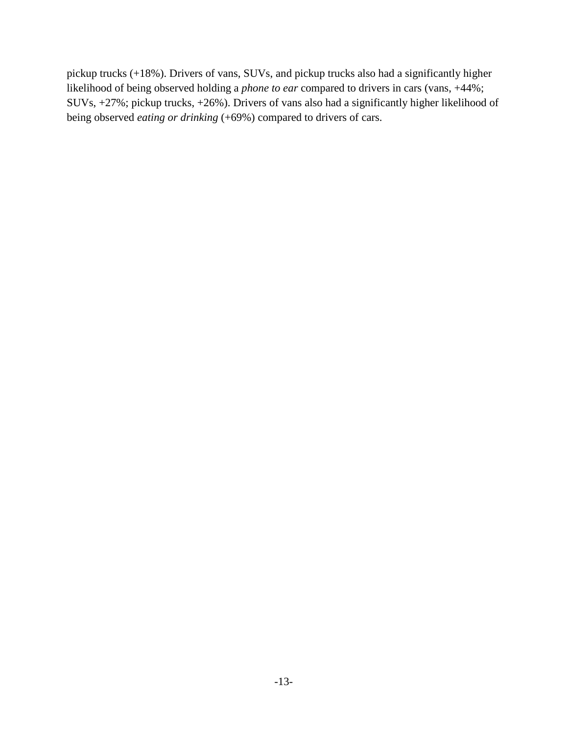pickup trucks (+18%). Drivers of vans, SUVs, and pickup trucks also had a significantly higher likelihood of being observed holding a *phone to ear* compared to drivers in cars (vans, +44%; SUVs, +27%; pickup trucks, +26%). Drivers of vans also had a significantly higher likelihood of being observed *eating or drinking* (+69%) compared to drivers of cars.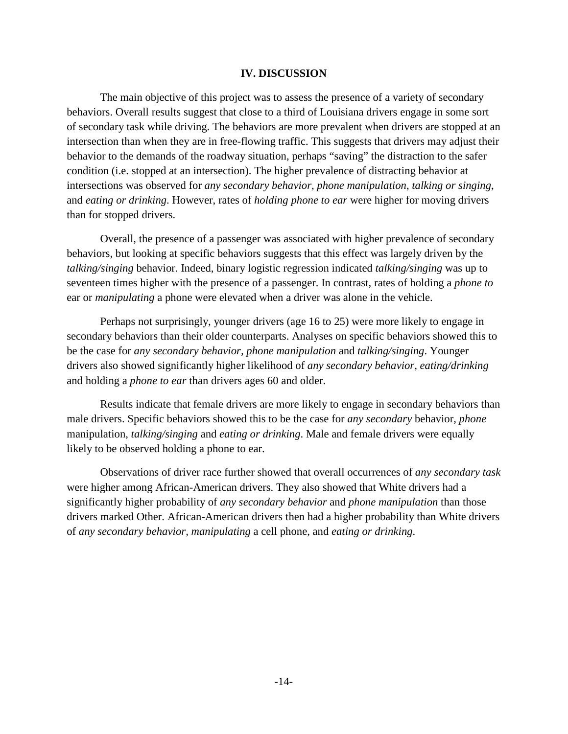### **IV. DISCUSSION**

The main objective of this project was to assess the presence of a variety of secondary behaviors. Overall results suggest that close to a third of Louisiana drivers engage in some sort of secondary task while driving. The behaviors are more prevalent when drivers are stopped at an intersection than when they are in free-flowing traffic. This suggests that drivers may adjust their behavior to the demands of the roadway situation, perhaps "saving" the distraction to the safer condition (i.e. stopped at an intersection). The higher prevalence of distracting behavior at intersections was observed for *any secondary behavior, phone manipulation*, *talking or singing*, and *eating or drinking*. However, rates of *holding phone to ear* were higher for moving drivers than for stopped drivers.

Overall, the presence of a passenger was associated with higher prevalence of secondary behaviors, but looking at specific behaviors suggests that this effect was largely driven by the *talking/singing* behavior. Indeed, binary logistic regression indicated *talking/singing* was up to seventeen times higher with the presence of a passenger. In contrast, rates of holding a *phone to*  ear or *manipulating* a phone were elevated when a driver was alone in the vehicle.

Perhaps not surprisingly, younger drivers (age 16 to 25) were more likely to engage in secondary behaviors than their older counterparts. Analyses on specific behaviors showed this to be the case for *any secondary behavior, phone manipulation* and *talking/singing*. Younger drivers also showed significantly higher likelihood of *any secondary behavior, eating/drinking* and holding a *phone to ear* than drivers ages 60 and older.

Results indicate that female drivers are more likely to engage in secondary behaviors than male drivers. Specific behaviors showed this to be the case for *any secondary* behavior, *phone*  manipulation, *talking/singing* and *eating or drinking*. Male and female drivers were equally likely to be observed holding a phone to ear.

Observations of driver race further showed that overall occurrences of *any secondary task* were higher among African-American drivers. They also showed that White drivers had a significantly higher probability of *any secondary behavior* and *phone manipulation* than those drivers marked Other. African-American drivers then had a higher probability than White drivers of *any secondary behavior, manipulating* a cell phone, and *eating or drinking*.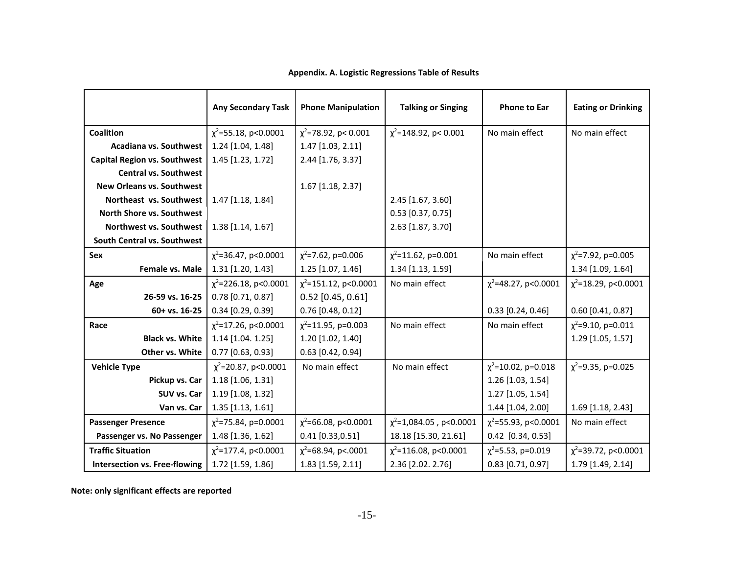|                                      | <b>Any Secondary Task</b>  | <b>Phone Manipulation</b>  | <b>Talking or Singing</b>    | <b>Phone to Ear</b>       | <b>Eating or Drinking</b> |
|--------------------------------------|----------------------------|----------------------------|------------------------------|---------------------------|---------------------------|
| Coalition                            | $\chi^2$ =55.18, p<0.0001  | $\chi^2$ =78.92, p< 0.001  | $\chi^2$ =148.92, p< 0.001   | No main effect            | No main effect            |
|                                      |                            |                            |                              |                           |                           |
| Acadiana vs. Southwest               | 1.24 [1.04, 1.48]          | $1.47$ [1.03, 2.11]        |                              |                           |                           |
| <b>Capital Region vs. Southwest</b>  | 1.45 [1.23, 1.72]          | 2.44 [1.76, 3.37]          |                              |                           |                           |
| <b>Central vs. Southwest</b>         |                            |                            |                              |                           |                           |
| <b>New Orleans vs. Southwest</b>     |                            | 1.67 [1.18, 2.37]          |                              |                           |                           |
| Northeast vs. Southwest              | 1.47 [1.18, 1.84]          |                            | 2.45 [1.67, 3.60]            |                           |                           |
| North Shore vs. Southwest            |                            |                            | $0.53$ [0.37, 0.75]          |                           |                           |
| Northwest vs. Southwest              | 1.38 [1.14, 1.67]          |                            | 2.63 [1.87, 3.70]            |                           |                           |
| South Central vs. Southwest          |                            |                            |                              |                           |                           |
| Sex                                  | $\chi^2$ =36.47, p<0.0001  | $\chi^2$ =7.62, p=0.006    | $\chi^2$ =11.62, p=0.001     | No main effect            | $\chi^2$ =7.92, p=0.005   |
| Female vs. Male                      | 1.31 [1.20, 1.43]          | 1.25 [1.07, 1.46]          | 1.34 [1.13, 1.59]            |                           | 1.34 [1.09, 1.64]         |
| Age                                  | $\chi^2$ =226.18, p<0.0001 | $\chi^2$ =151.12, p<0.0001 | No main effect               | $\chi^2$ =48.27, p<0.0001 | $\chi^2$ =18.29, p<0.0001 |
| 26-59 vs. 16-25                      | $0.78$ [0.71, 0.87]        | $0.52$ [0.45, 0.61]        |                              |                           |                           |
| 60+ vs. 16-25                        | $0.34$ [0.29, 0.39]        | $0.76$ [0.48, 0.12]        |                              | $0.33$ [0.24, 0.46]       | $0.60$ [0.41, 0.87]       |
| Race                                 | $\chi^2$ =17.26, p<0.0001  | $\chi^2$ =11.95, p=0.003   | No main effect               | No main effect            | $\chi^2$ =9.10, p=0.011   |
| <b>Black vs. White</b>               | 1.14 [1.04. 1.25]          | 1.20 [1.02, 1.40]          |                              |                           | 1.29 [1.05, 1.57]         |
| Other vs. White                      | $0.77$ [0.63, 0.93]        | $0.63$ [0.42, 0.94]        |                              |                           |                           |
| <b>Vehicle Type</b>                  | $\chi^2$ =20.87, p<0.0001  | No main effect             | No main effect               | $\chi^2$ =10.02, p=0.018  | $\chi^2$ =9.35, p=0.025   |
| Pickup vs. Car                       | 1.18 [1.06, 1.31]          |                            |                              | 1.26 [1.03, 1.54]         |                           |
| SUV vs. Car                          | 1.19 [1.08, 1.32]          |                            |                              | 1.27 [1.05, 1.54]         |                           |
| Van vs. Car                          | 1.35 [1.13, 1.61]          |                            |                              | 1.44 [1.04, 2.00]         | 1.69 [1.18, 2.43]         |
| <b>Passenger Presence</b>            | $\chi^2$ =75.84, p=0.0001  | $\chi^2$ =66.08, p<0.0001  | $\chi^2$ =1,084.05, p<0.0001 | $\chi^2$ =55.93, p<0.0001 | No main effect            |
| Passenger vs. No Passenger           | 1.48 [1.36, 1.62]          | $0.41$ [0.33,0.51]         | 18.18 [15.30, 21.61]         | $0.42$ [0.34, 0.53]       |                           |
| <b>Traffic Situation</b>             | $\chi^2$ =177.4, p<0.0001  | $\chi^2$ =68.94, p<.0001   | $\chi^2$ =116.08, p<0.0001   | $\chi^2$ =5.53, p=0.019   | $\chi^2$ =39.72, p<0.0001 |
| <b>Intersection vs. Free-flowing</b> | 1.72 [1.59, 1.86]          | 1.83 [1.59, 2.11]          | 2.36 [2.02. 2.76]            | $0.83$ [0.71, 0.97]       | 1.79 [1.49, 2.14]         |

## **Appendix. A. Logistic Regressions Table of Results**

**Note: only significant effects are reported**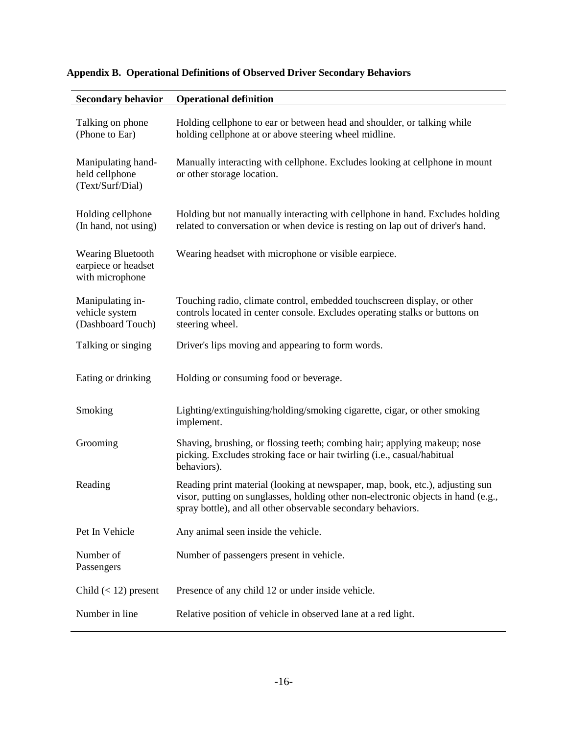| <b>Secondary behavior</b>                                          | <b>Operational definition</b>                                                                                                                                                                                                      |
|--------------------------------------------------------------------|------------------------------------------------------------------------------------------------------------------------------------------------------------------------------------------------------------------------------------|
| Talking on phone<br>(Phone to Ear)                                 | Holding cellphone to ear or between head and shoulder, or talking while<br>holding cellphone at or above steering wheel midline.                                                                                                   |
| Manipulating hand-<br>held cellphone<br>(Text/Surf/Dial)           | Manually interacting with cellphone. Excludes looking at cellphone in mount<br>or other storage location.                                                                                                                          |
| Holding cellphone<br>(In hand, not using)                          | Holding but not manually interacting with cellphone in hand. Excludes holding<br>related to conversation or when device is resting on lap out of driver's hand.                                                                    |
| <b>Wearing Bluetooth</b><br>earpiece or headset<br>with microphone | Wearing headset with microphone or visible earpiece.                                                                                                                                                                               |
| Manipulating in-<br>vehicle system<br>(Dashboard Touch)            | Touching radio, climate control, embedded touchscreen display, or other<br>controls located in center console. Excludes operating stalks or buttons on<br>steering wheel.                                                          |
| Talking or singing                                                 | Driver's lips moving and appearing to form words.                                                                                                                                                                                  |
| Eating or drinking                                                 | Holding or consuming food or beverage.                                                                                                                                                                                             |
| Smoking                                                            | Lighting/extinguishing/holding/smoking cigarette, cigar, or other smoking<br>implement.                                                                                                                                            |
| Grooming                                                           | Shaving, brushing, or flossing teeth; combing hair; applying makeup; nose<br>picking. Excludes stroking face or hair twirling (i.e., casual/habitual<br>behaviors).                                                                |
| Reading                                                            | Reading print material (looking at newspaper, map, book, etc.), adjusting sun<br>visor, putting on sunglasses, holding other non-electronic objects in hand (e.g.,<br>spray bottle), and all other observable secondary behaviors. |
| Pet In Vehicle                                                     | Any animal seen inside the vehicle.                                                                                                                                                                                                |
| Number of<br>Passengers                                            | Number of passengers present in vehicle.                                                                                                                                                                                           |
| Child $(< 12$ ) present                                            | Presence of any child 12 or under inside vehicle.                                                                                                                                                                                  |
| Number in line                                                     | Relative position of vehicle in observed lane at a red light.                                                                                                                                                                      |

## **Appendix B. Operational Definitions of Observed Driver Secondary Behaviors**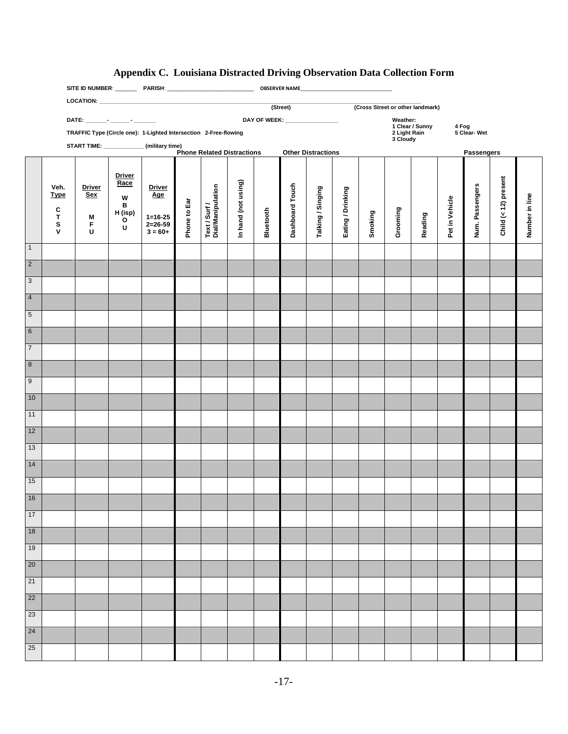## **Appendix C. Louisiana Distracted Driving Observation Data Collection Form**

|                                           |                    |                                    |               |                                                                  |              |                                    |                     | (Street)<br>(Cross Street or other landmark) |                           |                   |                          |         |          |                 |                       |                 |                      |                |
|-------------------------------------------|--------------------|------------------------------------|---------------|------------------------------------------------------------------|--------------|------------------------------------|---------------------|----------------------------------------------|---------------------------|-------------------|--------------------------|---------|----------|-----------------|-----------------------|-----------------|----------------------|----------------|
|                                           |                    | DATE: ________- _______ - ________ |               | DAY OF WEEK: __________________                                  |              |                                    |                     |                                              |                           |                   |                          |         | Weather: | 1 Clear / Sunny |                       |                 |                      |                |
|                                           |                    |                                    |               | TRAFFIC Type (Circle one): 1-Lighted Intersection 2-Free-flowing |              |                                    |                     |                                              |                           |                   | 2 Light Rain<br>3 Cloudy |         |          |                 | 4 Fog<br>5 Clear- Wet |                 |                      |                |
| START TIME: ______________(military time) |                    |                                    |               | <b>Phone Related Distractions</b>                                |              |                                    |                     |                                              | <b>Other Distractions</b> |                   |                          |         |          |                 |                       | Passengers      |                      |                |
|                                           |                    |                                    |               |                                                                  |              |                                    |                     |                                              |                           |                   |                          |         |          |                 |                       |                 |                      |                |
|                                           |                    |                                    | <b>Driver</b> |                                                                  |              |                                    |                     |                                              |                           |                   |                          |         |          |                 |                       |                 |                      |                |
|                                           | Veh.               | <b>Driver</b>                      | Race          | <b>Driver</b>                                                    |              |                                    | In hand (not using) |                                              |                           |                   |                          |         |          |                 |                       |                 | Child (< 12) present |                |
|                                           | <b>Type</b>        | <b>Sex</b>                         | W<br>в        | Age                                                              |              |                                    |                     |                                              |                           |                   |                          |         |          |                 |                       |                 |                      |                |
|                                           | C<br>T             | M                                  | H (isp)       | $1 = 16 - 25$                                                    |              |                                    |                     |                                              |                           |                   |                          |         |          |                 |                       |                 |                      |                |
|                                           | S                  | F                                  | O<br>U        | $2 = 26 - 59$                                                    | Phone to Ear | Text / Surf /<br>Dial/Manipulation |                     | Bluetooth                                    | Dashboard Touch           | Talking / Singing | Eating / Drinking        | Smoking | Grooming | Reading         | Pet in Vehicle        | Num. Passengers |                      | Number in line |
|                                           | $\pmb{\mathsf{V}}$ | $\mathbf U$                        |               | $3 = 60+$                                                        |              |                                    |                     |                                              |                           |                   |                          |         |          |                 |                       |                 |                      |                |
| $\overline{1}$                            |                    |                                    |               |                                                                  |              |                                    |                     |                                              |                           |                   |                          |         |          |                 |                       |                 |                      |                |
| $\overline{2}$                            |                    |                                    |               |                                                                  |              |                                    |                     |                                              |                           |                   |                          |         |          |                 |                       |                 |                      |                |
| $\overline{3}$                            |                    |                                    |               |                                                                  |              |                                    |                     |                                              |                           |                   |                          |         |          |                 |                       |                 |                      |                |
| $\overline{4}$                            |                    |                                    |               |                                                                  |              |                                    |                     |                                              |                           |                   |                          |         |          |                 |                       |                 |                      |                |
| $\overline{5}$                            |                    |                                    |               |                                                                  |              |                                    |                     |                                              |                           |                   |                          |         |          |                 |                       |                 |                      |                |
| $6\overline{}$                            |                    |                                    |               |                                                                  |              |                                    |                     |                                              |                           |                   |                          |         |          |                 |                       |                 |                      |                |
| $\overline{7}$                            |                    |                                    |               |                                                                  |              |                                    |                     |                                              |                           |                   |                          |         |          |                 |                       |                 |                      |                |
|                                           |                    |                                    |               |                                                                  |              |                                    |                     |                                              |                           |                   |                          |         |          |                 |                       |                 |                      |                |
| $\overline{\mathbf{8}}$                   |                    |                                    |               |                                                                  |              |                                    |                     |                                              |                           |                   |                          |         |          |                 |                       |                 |                      |                |
| $\overline{9}$                            |                    |                                    |               |                                                                  |              |                                    |                     |                                              |                           |                   |                          |         |          |                 |                       |                 |                      |                |
| 10                                        |                    |                                    |               |                                                                  |              |                                    |                     |                                              |                           |                   |                          |         |          |                 |                       |                 |                      |                |
| 11                                        |                    |                                    |               |                                                                  |              |                                    |                     |                                              |                           |                   |                          |         |          |                 |                       |                 |                      |                |
| 12                                        |                    |                                    |               |                                                                  |              |                                    |                     |                                              |                           |                   |                          |         |          |                 |                       |                 |                      |                |
| 13                                        |                    |                                    |               |                                                                  |              |                                    |                     |                                              |                           |                   |                          |         |          |                 |                       |                 |                      |                |
| 14                                        |                    |                                    |               |                                                                  |              |                                    |                     |                                              |                           |                   |                          |         |          |                 |                       |                 |                      |                |
| 15                                        |                    |                                    |               |                                                                  |              |                                    |                     |                                              |                           |                   |                          |         |          |                 |                       |                 |                      |                |
| 16                                        |                    |                                    |               |                                                                  |              |                                    |                     |                                              |                           |                   |                          |         |          |                 |                       |                 |                      |                |
| 17                                        |                    |                                    |               |                                                                  |              |                                    |                     |                                              |                           |                   |                          |         |          |                 |                       |                 |                      |                |
| 18                                        |                    |                                    |               |                                                                  |              |                                    |                     |                                              |                           |                   |                          |         |          |                 |                       |                 |                      |                |
| 19                                        |                    |                                    |               |                                                                  |              |                                    |                     |                                              |                           |                   |                          |         |          |                 |                       |                 |                      |                |
| $\overline{20}$                           |                    |                                    |               |                                                                  |              |                                    |                     |                                              |                           |                   |                          |         |          |                 |                       |                 |                      |                |
| 21                                        |                    |                                    |               |                                                                  |              |                                    |                     |                                              |                           |                   |                          |         |          |                 |                       |                 |                      |                |
| $\overline{22}$                           |                    |                                    |               |                                                                  |              |                                    |                     |                                              |                           |                   |                          |         |          |                 |                       |                 |                      |                |
| $\overline{23}$                           |                    |                                    |               |                                                                  |              |                                    |                     |                                              |                           |                   |                          |         |          |                 |                       |                 |                      |                |
| $\overline{24}$                           |                    |                                    |               |                                                                  |              |                                    |                     |                                              |                           |                   |                          |         |          |                 |                       |                 |                      |                |
| $25\overline{ }$                          |                    |                                    |               |                                                                  |              |                                    |                     |                                              |                           |                   |                          |         |          |                 |                       |                 |                      |                |
|                                           |                    |                                    |               |                                                                  |              |                                    |                     |                                              |                           |                   |                          |         |          |                 |                       |                 |                      |                |